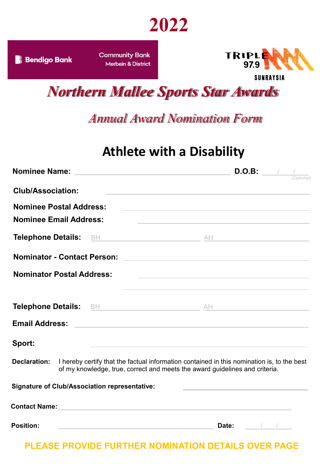

**Community Bank Merbein & District** 



*Northern Mallee Sports Star Awards*

*Annual Award Nomination Form*

## **Athlete with a Disability**

|                                                      |  |                                                                                                                                                                                                                               | D.O.B:                      | (Optional) |
|------------------------------------------------------|--|-------------------------------------------------------------------------------------------------------------------------------------------------------------------------------------------------------------------------------|-----------------------------|------------|
| <b>Club/Association:</b>                             |  | the control of the control of the control of the control of the control of the control of                                                                                                                                     |                             |            |
| <b>Nominee Postal Address:</b>                       |  | <u> 1989 - Andrea Stadt Britain, amerikansk politiker (</u>                                                                                                                                                                   |                             |            |
| <b>Nominee Email Address:</b>                        |  | <u> 1989 - Andrea Stadt Britain, amerikansk fotograf i den stadt fotograf i den stadt fotograf i den stadt fotogr</u>                                                                                                         |                             |            |
|                                                      |  |                                                                                                                                                                                                                               |                             |            |
|                                                      |  |                                                                                                                                                                                                                               |                             |            |
| <b>Nominator Postal Address:</b>                     |  | <u> 1989 - Johann Stein, mars and de Britain and de Britain and de Britain and de Britain and de Britain and de B</u>                                                                                                         |                             |            |
|                                                      |  |                                                                                                                                                                                                                               |                             |            |
| <b>Email Address:</b>                                |  | <u> 1989 - Andrea Stadt Britain, amerikansk politiker (d. 1989)</u>                                                                                                                                                           |                             |            |
| Sport:                                               |  | the control of the control of the control of the control of the control of the control of the control of the control of the control of the control of the control of the control of the control of the control of the control |                             |            |
| <b>Declaration:</b>                                  |  | I hereby certify that the factual information contained in this nomination is, to the best<br>of my knowledge, true, correct and meets the award guidelines and criteria.                                                     |                             |            |
| <b>Signature of Club/Association representative:</b> |  | the control of the control of the control of the control of the control of the control of                                                                                                                                     |                             |            |
|                                                      |  |                                                                                                                                                                                                                               |                             |            |
| <b>Position:</b>                                     |  | Date:                                                                                                                                                                                                                         | $\frac{1}{2}$ $\frac{1}{2}$ |            |

**PLEASE PROVIDE FURTHER NOMINATION DETAILS OVER PAGE**